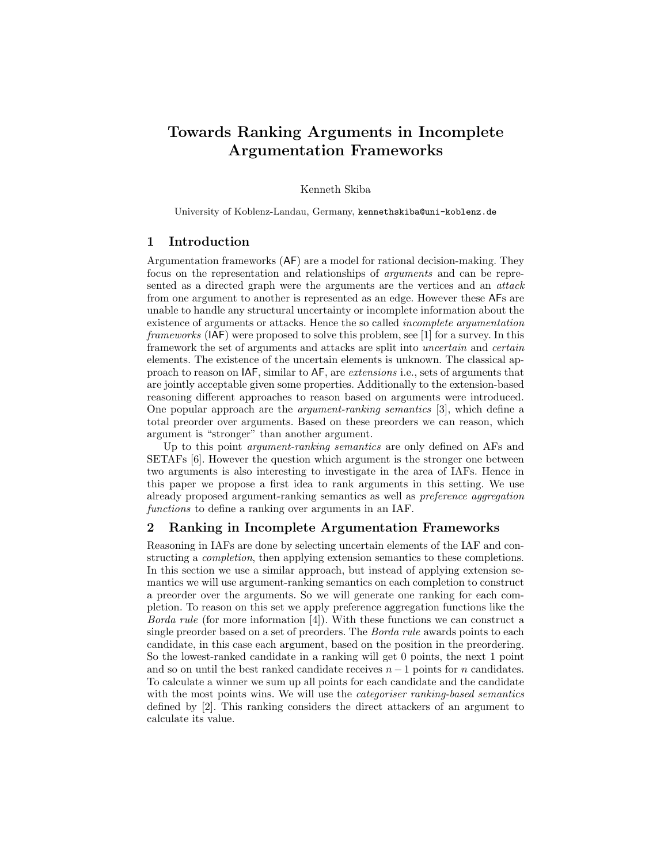# Towards Ranking Arguments in Incomplete Argumentation Frameworks

#### Kenneth Skiba

University of Koblenz-Landau, Germany, kennethskiba@uni-koblenz.de

## 1 Introduction

Argumentation frameworks (AF) are a model for rational decision-making. They focus on the representation and relationships of arguments and can be represented as a directed graph were the arguments are the vertices and an attack from one argument to another is represented as an edge. However these AFs are unable to handle any structural uncertainty or incomplete information about the existence of arguments or attacks. Hence the so called incomplete argumentation frameworks (IAF) were proposed to solve this problem, see [1] for a survey. In this framework the set of arguments and attacks are split into uncertain and certain elements. The existence of the uncertain elements is unknown. The classical approach to reason on IAF, similar to AF, are extensions i.e., sets of arguments that are jointly acceptable given some properties. Additionally to the extension-based reasoning different approaches to reason based on arguments were introduced. One popular approach are the argument-ranking semantics [3], which define a total preorder over arguments. Based on these preorders we can reason, which argument is "stronger" than another argument.

Up to this point *argument-ranking semantics* are only defined on AFs and SETAFs [6]. However the question which argument is the stronger one between two arguments is also interesting to investigate in the area of IAFs. Hence in this paper we propose a first idea to rank arguments in this setting. We use already proposed argument-ranking semantics as well as preference aggregation functions to define a ranking over arguments in an IAF.

## 2 Ranking in Incomplete Argumentation Frameworks

Reasoning in IAFs are done by selecting uncertain elements of the IAF and constructing a completion, then applying extension semantics to these completions. In this section we use a similar approach, but instead of applying extension semantics we will use argument-ranking semantics on each completion to construct a preorder over the arguments. So we will generate one ranking for each completion. To reason on this set we apply preference aggregation functions like the Borda rule (for more information [4]). With these functions we can construct a single preorder based on a set of preorders. The Borda rule awards points to each candidate, in this case each argument, based on the position in the preordering. So the lowest-ranked candidate in a ranking will get 0 points, the next 1 point and so on until the best ranked candidate receives  $n-1$  points for n candidates. To calculate a winner we sum up all points for each candidate and the candidate with the most points wins. We will use the categoriser ranking-based semantics defined by [2]. This ranking considers the direct attackers of an argument to calculate its value.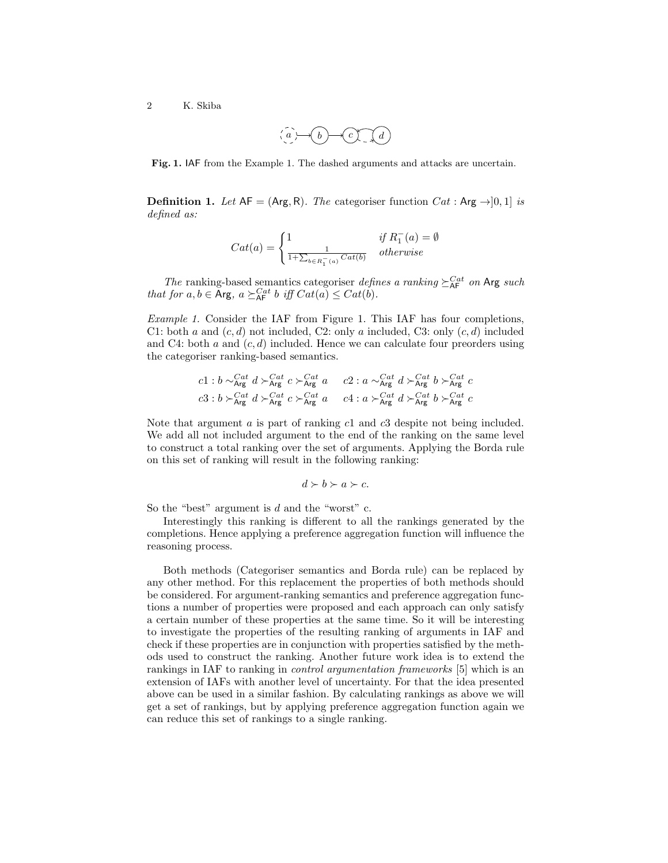2 K. Skiba

$$
\alpha(a)\rightarrow b\rightarrow c\gamma^{-1}(a)
$$

Fig. 1. IAF from the Example 1. The dashed arguments and attacks are uncertain.

**Definition 1.** Let  $AF = (Arg, R)$ . The categoriser function  $Cat : Arg \rightarrow ]0, 1]$  is defined as:

$$
Cat(a) = \begin{cases} 1 & \text{if } R_1^-(a) = \emptyset \\ \frac{1}{1 + \sum_{b \in R_1^-(a)} Cat(b)} & otherwise \end{cases}
$$

The ranking-based semantics categoriser defines a ranking  $\geq_{\text{AF}}^{Cat}$  on Arg such that for  $a, b \in \text{Arg}, a \succeq_{\text{AF}}^{Cat} b$  iff  $Cat(a) \leq Cat(b)$ .

Example 1. Consider the IAF from Figure 1. This IAF has four completions, C1: both a and  $(c, d)$  not included, C2: only a included, C3: only  $(c, d)$  included and C4: both a and  $(c, d)$  included. Hence we can calculate four preorders using the categoriser ranking-based semantics.

$$
c1 : b \sim_{\text{Arg}}^{Cat} d \succ_{\text{Arg}}^{Cat} c \succ_{\text{Arg}}^{Cat} a \qquad c2 : a \sim_{\text{Arg}}^{Cat} d \succ_{\text{Arg}}^{Cat} b \succ_{\text{Arg}}^{Cat} c
$$
  

$$
c3 : b \succ_{\text{Arg}}^{Cat} d \succ_{\text{Arg}}^{Cat} c \succ_{\text{Arg}}^{Cat} a \qquad c4 : a \succ_{\text{Arg}}^{Cat} d \succ_{\text{Arg}}^{Cat} b \succ_{\text{Arg}}^{Cat} c
$$

Note that argument a is part of ranking c1 and c3 despite not being included. We add all not included argument to the end of the ranking on the same level to construct a total ranking over the set of arguments. Applying the Borda rule on this set of ranking will result in the following ranking:

$$
d \succ b \succ a \succ c.
$$

So the "best" argument is  $d$  and the "worst" c.

Interestingly this ranking is different to all the rankings generated by the completions. Hence applying a preference aggregation function will influence the reasoning process.

Both methods (Categoriser semantics and Borda rule) can be replaced by any other method. For this replacement the properties of both methods should be considered. For argument-ranking semantics and preference aggregation functions a number of properties were proposed and each approach can only satisfy a certain number of these properties at the same time. So it will be interesting to investigate the properties of the resulting ranking of arguments in IAF and check if these properties are in conjunction with properties satisfied by the methods used to construct the ranking. Another future work idea is to extend the rankings in IAF to ranking in control argumentation frameworks [5] which is an extension of IAFs with another level of uncertainty. For that the idea presented above can be used in a similar fashion. By calculating rankings as above we will get a set of rankings, but by applying preference aggregation function again we can reduce this set of rankings to a single ranking.